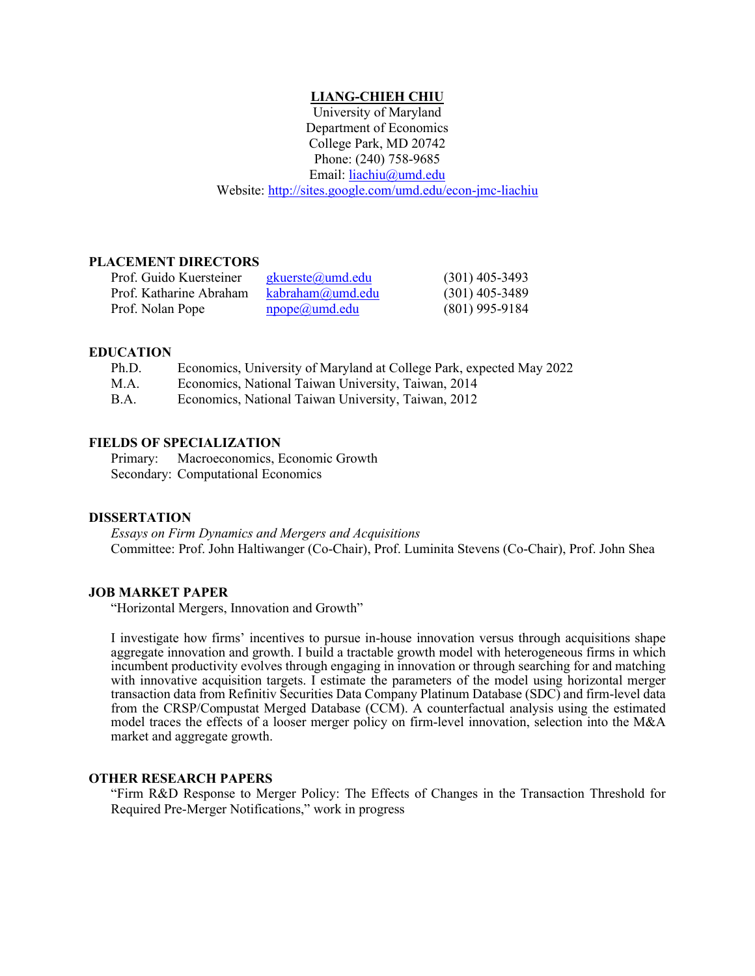# **LIANG-CHIEH CHIU**

University of Maryland Department of Economics College Park, MD 20742 Phone: (240) 758-9685 Email: [liachiu@umd.edu](mailto:liachiu@umd.edu) Website:<http://sites.google.com/umd.edu/econ-jmc-liachiu>

## **PLACEMENT DIRECTORS**

| Prof. Guido Kuersteiner | <u>gkuerste@umd.edu</u>   | $(301)$ 405-3493 |
|-------------------------|---------------------------|------------------|
| Prof. Katharine Abraham | kabraham(a)umd.edu        | $(301)$ 405-3489 |
| Prof. Nolan Pope        | $\text{npope}(a)$ umd.edu | $(801)$ 995-9184 |

## **EDUCATION**

| Ph.D. |  |  | Economics, University of Maryland at College Park, expected May 2022 |
|-------|--|--|----------------------------------------------------------------------|
|       |  |  |                                                                      |

M.A. Economics, National Taiwan University, Taiwan, 2014

B.A. Economics, National Taiwan University, Taiwan, 2012

### **FIELDS OF SPECIALIZATION**

Primary: Macroeconomics, Economic Growth Secondary: Computational Economics

#### **DISSERTATION**

*Essays on Firm Dynamics and Mergers and Acquisitions* Committee: Prof. John Haltiwanger (Co-Chair), Prof. Luminita Stevens (Co-Chair), Prof. John Shea

### **JOB MARKET PAPER**

"Horizontal Mergers, Innovation and Growth"

I investigate how firms' incentives to pursue in-house innovation versus through acquisitions shape aggregate innovation and growth. I build a tractable growth model with heterogeneous firms in which incumbent productivity evolves through engaging in innovation or through searching for and matching with innovative acquisition targets. I estimate the parameters of the model using horizontal merger transaction data from Refinitiv Securities Data Company Platinum Database (SDC) and firm-level data from the CRSP/Compustat Merged Database (CCM). A counterfactual analysis using the estimated model traces the effects of a looser merger policy on firm-level innovation, selection into the M&A market and aggregate growth.

### **OTHER RESEARCH PAPERS**

"Firm R&D Response to Merger Policy: The Effects of Changes in the Transaction Threshold for Required Pre-Merger Notifications," work in progress